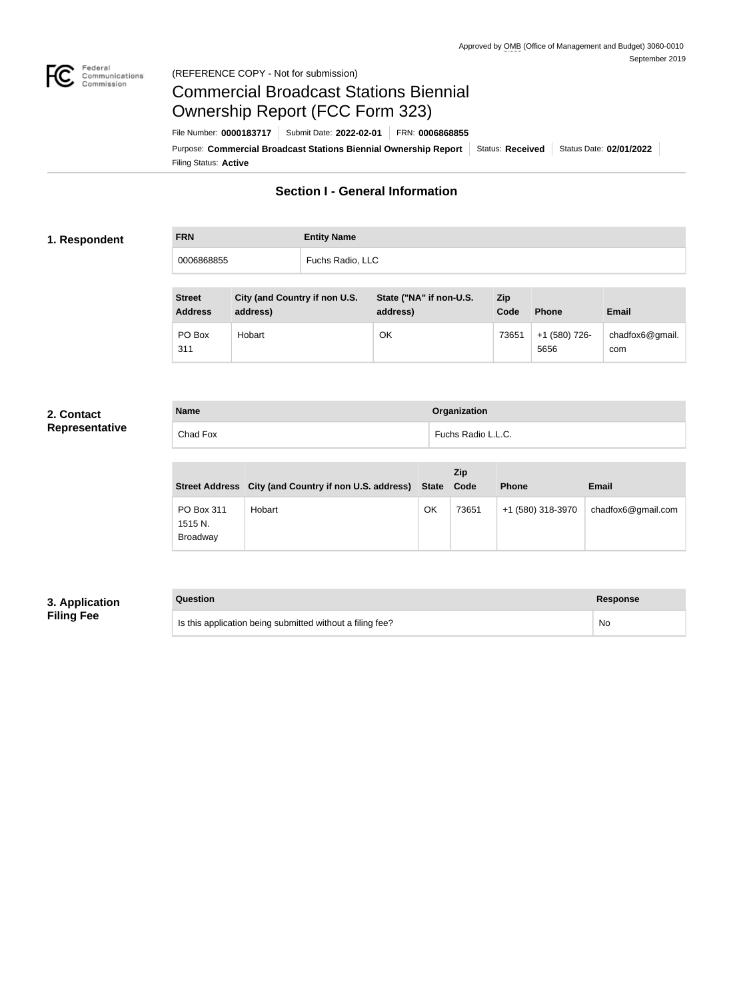

#### Federal<br>Communications<br>Commission (REFERENCE COPY - Not for submission)

# Commercial Broadcast Stations Biennial Ownership Report (FCC Form 323)

Filing Status: **Active** Purpose: Commercial Broadcast Stations Biennial Ownership Report Status: Received Status Date: 02/01/2022 File Number: **0000183717** Submit Date: **2022-02-01** FRN: **0006868855**

# **Section I - General Information**

#### **1. Respondent**

**FRN Entity Name** 0006868855 Fuchs Radio, LLC

| <b>Street</b><br><b>Address</b> | City (and Country if non U.S.<br>address) | State ("NA" if non-U.S.<br>address) | Zip<br>Code | <b>Phone</b>          | <b>Email</b>           |
|---------------------------------|-------------------------------------------|-------------------------------------|-------------|-----------------------|------------------------|
| PO Box<br>311                   | Hobart                                    | OK                                  | 73651       | +1 (580) 726-<br>5656 | chadfox6@gmail.<br>com |

#### **2. Contact Representative**

**Name Organization** Chad Fox **Fuchs Radio L.L.C.** 

|                                   | Street Address City (and Country if non U.S. address) State |    | Zip<br>Code | <b>Phone</b>      | <b>Email</b>       |
|-----------------------------------|-------------------------------------------------------------|----|-------------|-------------------|--------------------|
| PO Box 311<br>1515 N.<br>Broadway | Hobart                                                      | OK | 73651       | +1 (580) 318-3970 | chadfox6@gmail.com |

## **3. Application Filing Fee**

**Question Response** Is this application being submitted without a filing fee? No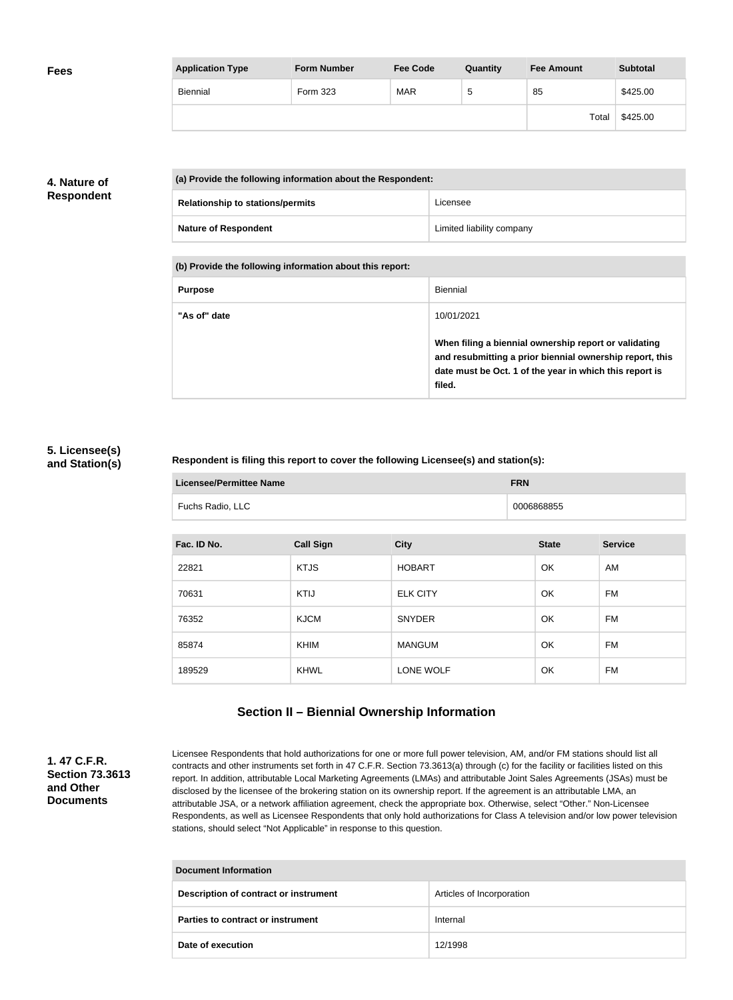| <b>Fees</b> | <b>Application Type</b> | <b>Form Number</b> | <b>Fee Code</b> | Quantity | <b>Fee Amount</b> | <b>Subtotal</b> |
|-------------|-------------------------|--------------------|-----------------|----------|-------------------|-----------------|
|             | Biennial                | Form 323           | <b>MAR</b>      | .5       | 85                | \$425.00        |
|             |                         |                    |                 |          | Total             | \$425.00        |

## **4. Nature of Respondent**

| (a) Provide the following information about the Respondent: |                           |
|-------------------------------------------------------------|---------------------------|
| <b>Relationship to stations/permits</b>                     | Licensee                  |
| <b>Nature of Respondent</b>                                 | Limited liability company |

**(b) Provide the following information about this report:**

| <b>Purpose</b> | Biennial                                                                                                                                                                               |
|----------------|----------------------------------------------------------------------------------------------------------------------------------------------------------------------------------------|
| "As of" date   | 10/01/2021                                                                                                                                                                             |
|                | When filing a biennial ownership report or validating<br>and resubmitting a prior biennial ownership report, this<br>date must be Oct. 1 of the year in which this report is<br>filed. |

#### **5. Licensee(s) and Station(s)**

#### **Respondent is filing this report to cover the following Licensee(s) and station(s):**

| <b>Licensee/Permittee Name</b> |                  | <b>FRN</b> |
|--------------------------------|------------------|------------|
|                                | Fuchs Radio, LLC | 0006868855 |

| Fac. ID No. | <b>Call Sign</b> | <b>City</b>     | <b>State</b> | <b>Service</b> |
|-------------|------------------|-----------------|--------------|----------------|
| 22821       | <b>KTJS</b>      | <b>HOBART</b>   | OK           | AM             |
| 70631       | <b>KTIJ</b>      | <b>ELK CITY</b> | OK           | FM             |
| 76352       | <b>KJCM</b>      | <b>SNYDER</b>   | OK           | FM             |
| 85874       | KHIM             | <b>MANGUM</b>   | OK           | FM             |
| 189529      | <b>KHWL</b>      | LONE WOLF       | OK           | FM             |

# **Section II – Biennial Ownership Information**

#### **1. 47 C.F.R. Section 73.3613 and Other Documents**

Licensee Respondents that hold authorizations for one or more full power television, AM, and/or FM stations should list all contracts and other instruments set forth in 47 C.F.R. Section 73.3613(a) through (c) for the facility or facilities listed on this report. In addition, attributable Local Marketing Agreements (LMAs) and attributable Joint Sales Agreements (JSAs) must be disclosed by the licensee of the brokering station on its ownership report. If the agreement is an attributable LMA, an attributable JSA, or a network affiliation agreement, check the appropriate box. Otherwise, select "Other." Non-Licensee Respondents, as well as Licensee Respondents that only hold authorizations for Class A television and/or low power television stations, should select "Not Applicable" in response to this question.

| Document Information                         |                           |  |
|----------------------------------------------|---------------------------|--|
| <b>Description of contract or instrument</b> | Articles of Incorporation |  |
| Parties to contract or instrument            | Internal                  |  |
| Date of execution                            | 12/1998                   |  |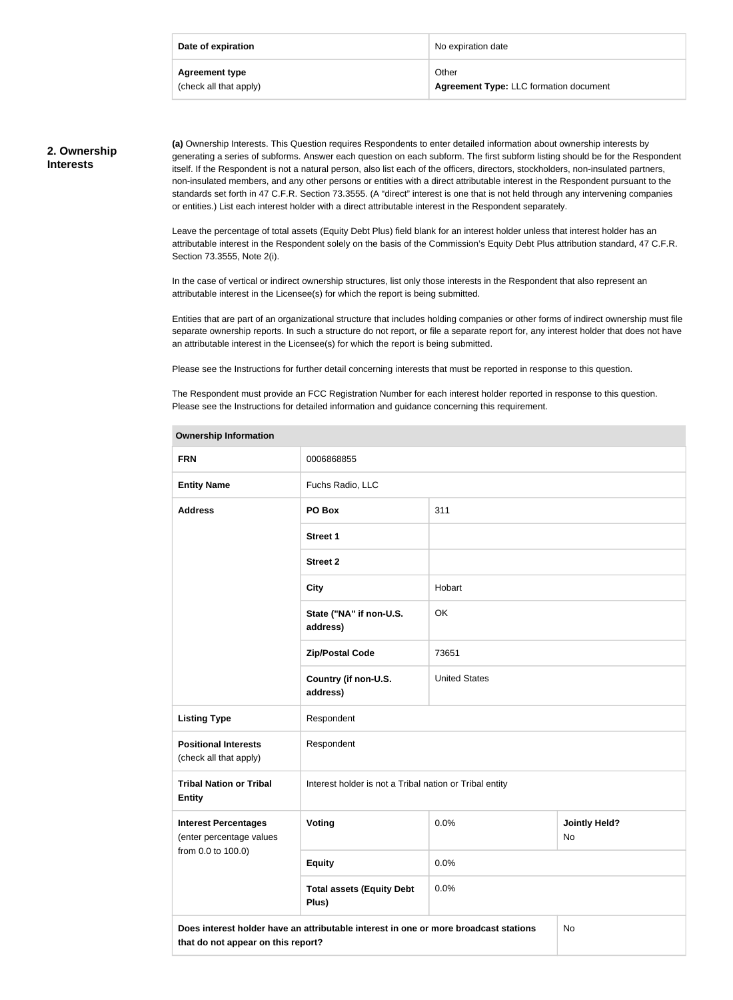| Date of expiration     | No expiration date                            |
|------------------------|-----------------------------------------------|
| <b>Agreement type</b>  | Other                                         |
| (check all that apply) | <b>Agreement Type: LLC formation document</b> |

### **2. Ownership Interests**

**(a)** Ownership Interests. This Question requires Respondents to enter detailed information about ownership interests by generating a series of subforms. Answer each question on each subform. The first subform listing should be for the Respondent itself. If the Respondent is not a natural person, also list each of the officers, directors, stockholders, non-insulated partners, non-insulated members, and any other persons or entities with a direct attributable interest in the Respondent pursuant to the standards set forth in 47 C.F.R. Section 73.3555. (A "direct" interest is one that is not held through any intervening companies or entities.) List each interest holder with a direct attributable interest in the Respondent separately.

Leave the percentage of total assets (Equity Debt Plus) field blank for an interest holder unless that interest holder has an attributable interest in the Respondent solely on the basis of the Commission's Equity Debt Plus attribution standard, 47 C.F.R. Section 73.3555, Note 2(i).

In the case of vertical or indirect ownership structures, list only those interests in the Respondent that also represent an attributable interest in the Licensee(s) for which the report is being submitted.

Entities that are part of an organizational structure that includes holding companies or other forms of indirect ownership must file separate ownership reports. In such a structure do not report, or file a separate report for, any interest holder that does not have an attributable interest in the Licensee(s) for which the report is being submitted.

Please see the Instructions for further detail concerning interests that must be reported in response to this question.

**Ownership Information**

The Respondent must provide an FCC Registration Number for each interest holder reported in response to this question. Please see the Instructions for detailed information and guidance concerning this requirement.

| OWNERSHIP INTOHIAGON                                                                                                             |                                                         |                      |                            |  |
|----------------------------------------------------------------------------------------------------------------------------------|---------------------------------------------------------|----------------------|----------------------------|--|
| <b>FRN</b>                                                                                                                       | 0006868855                                              |                      |                            |  |
| <b>Entity Name</b>                                                                                                               | Fuchs Radio, LLC                                        |                      |                            |  |
| <b>Address</b>                                                                                                                   | PO Box                                                  | 311                  |                            |  |
|                                                                                                                                  | <b>Street 1</b>                                         |                      |                            |  |
|                                                                                                                                  | <b>Street 2</b>                                         |                      |                            |  |
|                                                                                                                                  | <b>City</b>                                             | Hobart               |                            |  |
|                                                                                                                                  | State ("NA" if non-U.S.<br>address)                     | OK                   |                            |  |
|                                                                                                                                  | <b>Zip/Postal Code</b>                                  | 73651                |                            |  |
|                                                                                                                                  | Country (if non-U.S.<br>address)                        | <b>United States</b> |                            |  |
| <b>Listing Type</b>                                                                                                              | Respondent                                              |                      |                            |  |
| <b>Positional Interests</b><br>(check all that apply)                                                                            | Respondent                                              |                      |                            |  |
| <b>Tribal Nation or Tribal</b><br><b>Entity</b>                                                                                  | Interest holder is not a Tribal nation or Tribal entity |                      |                            |  |
| <b>Interest Percentages</b><br>(enter percentage values                                                                          | <b>Voting</b>                                           | 0.0%                 | <b>Jointly Held?</b><br>No |  |
| from 0.0 to 100.0)                                                                                                               | <b>Equity</b>                                           | 0.0%                 |                            |  |
|                                                                                                                                  | <b>Total assets (Equity Debt</b><br>Plus)               | 0.0%                 |                            |  |
| Does interest holder have an attributable interest in one or more broadcast stations<br>No<br>that do not appear on this report? |                                                         |                      |                            |  |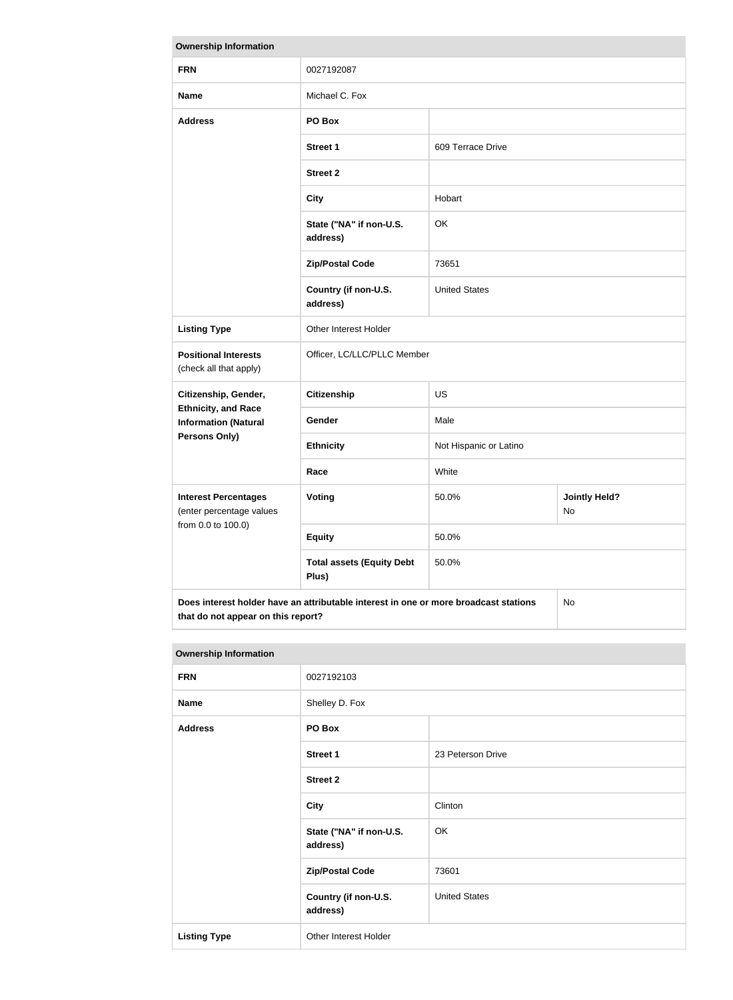| <b>Ownership Information</b>                                                               |                                           |                        |                            |  |
|--------------------------------------------------------------------------------------------|-------------------------------------------|------------------------|----------------------------|--|
| <b>FRN</b>                                                                                 | 0027192087                                |                        |                            |  |
| <b>Name</b>                                                                                | Michael C. Fox                            |                        |                            |  |
| <b>Address</b>                                                                             | PO Box                                    |                        |                            |  |
|                                                                                            | <b>Street 1</b>                           | 609 Terrace Drive      |                            |  |
|                                                                                            | <b>Street 2</b>                           |                        |                            |  |
|                                                                                            | <b>City</b>                               | Hobart                 |                            |  |
|                                                                                            | State ("NA" if non-U.S.<br>address)       | OK                     |                            |  |
|                                                                                            | <b>Zip/Postal Code</b>                    | 73651                  |                            |  |
|                                                                                            | Country (if non-U.S.<br>address)          | <b>United States</b>   |                            |  |
| <b>Listing Type</b>                                                                        | Other Interest Holder                     |                        |                            |  |
| <b>Positional Interests</b><br>(check all that apply)                                      | Officer, LC/LLC/PLLC Member               |                        |                            |  |
| Citizenship, Gender,                                                                       | <b>Citizenship</b>                        | <b>US</b>              |                            |  |
| <b>Ethnicity, and Race</b><br><b>Information (Natural</b>                                  | Gender                                    | Male                   |                            |  |
| Persons Only)                                                                              | <b>Ethnicity</b>                          | Not Hispanic or Latino |                            |  |
|                                                                                            | Race                                      | White                  |                            |  |
| <b>Interest Percentages</b><br>(enter percentage values                                    | <b>Voting</b>                             | 50.0%                  | <b>Jointly Held?</b><br>No |  |
| from 0.0 to 100.0)                                                                         | <b>Equity</b>                             | 50.0%                  |                            |  |
|                                                                                            | <b>Total assets (Equity Debt</b><br>Plus) | 50.0%                  |                            |  |
| Does interest holder have an attributable interest in one or more broadcast stations<br>No |                                           |                        |                            |  |

| <b>Ownership Information</b> |                                     |                      |  |  |
|------------------------------|-------------------------------------|----------------------|--|--|
| <b>FRN</b>                   | 0027192103                          |                      |  |  |
| <b>Name</b>                  | Shelley D. Fox                      |                      |  |  |
| <b>Address</b>               | PO Box                              |                      |  |  |
|                              | <b>Street 1</b>                     | 23 Peterson Drive    |  |  |
|                              | <b>Street 2</b>                     |                      |  |  |
|                              | <b>City</b>                         | Clinton              |  |  |
|                              | State ("NA" if non-U.S.<br>address) | OK                   |  |  |
|                              | <b>Zip/Postal Code</b>              | 73601                |  |  |
|                              | Country (if non-U.S.<br>address)    | <b>United States</b> |  |  |
| <b>Listing Type</b>          | Other Interest Holder               |                      |  |  |

**that do not appear on this report?**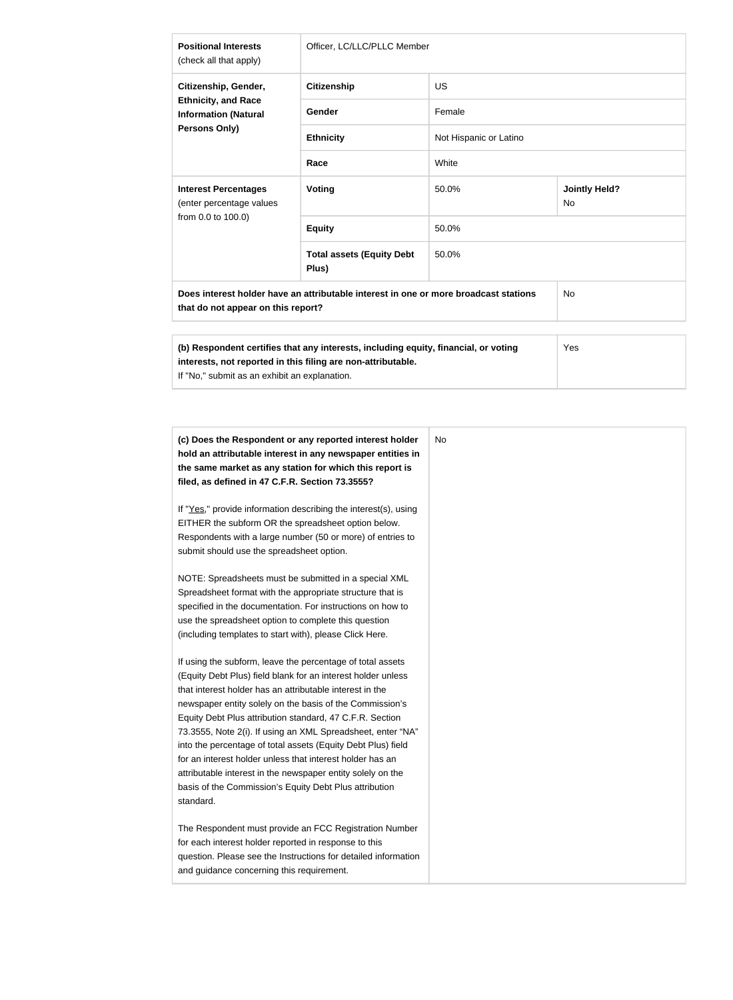| <b>Positional Interests</b><br>(check all that apply)                                                                                                                                                | Officer, LC/LLC/PLLC Member               |                        |                                   |  |
|------------------------------------------------------------------------------------------------------------------------------------------------------------------------------------------------------|-------------------------------------------|------------------------|-----------------------------------|--|
| Citizenship, Gender,<br><b>Ethnicity, and Race</b><br><b>Information (Natural</b><br><b>Persons Only)</b>                                                                                            | <b>Citizenship</b>                        | <b>US</b>              |                                   |  |
|                                                                                                                                                                                                      | <b>Gender</b>                             | Female                 |                                   |  |
|                                                                                                                                                                                                      | <b>Ethnicity</b>                          | Not Hispanic or Latino |                                   |  |
|                                                                                                                                                                                                      | Race                                      | White                  |                                   |  |
| <b>Interest Percentages</b><br>(enter percentage values<br>from 0.0 to 100.0)                                                                                                                        | <b>Voting</b>                             | 50.0%                  | <b>Jointly Held?</b><br><b>No</b> |  |
|                                                                                                                                                                                                      | <b>Equity</b>                             | 50.0%                  |                                   |  |
|                                                                                                                                                                                                      | <b>Total assets (Equity Debt</b><br>Plus) | 50.0%                  |                                   |  |
| Does interest holder have an attributable interest in one or more broadcast stations<br><b>No</b><br>that do not appear on this report?                                                              |                                           |                        |                                   |  |
| (b) Respondent certifies that any interests, including equity, financial, or voting<br>interests, not reported in this filing are non-attributable.<br>If "No," submit as an exhibit an explanation. |                                           |                        | Yes                               |  |

| If "Yes," provide information describing the interest(s), using<br>EITHER the subform OR the spreadsheet option below.<br>Respondents with a large number (50 or more) of entries to<br>submit should use the spreadsheet option.<br>NOTE: Spreadsheets must be submitted in a special XML<br>Spreadsheet format with the appropriate structure that is<br>specified in the documentation. For instructions on how to<br>use the spreadsheet option to complete this question<br>(including templates to start with), please Click Here.<br>If using the subform, leave the percentage of total assets<br>(Equity Debt Plus) field blank for an interest holder unless<br>that interest holder has an attributable interest in the<br>newspaper entity solely on the basis of the Commission's<br>Equity Debt Plus attribution standard, 47 C.F.R. Section<br>73.3555, Note 2(i). If using an XML Spreadsheet, enter "NA"<br>into the percentage of total assets (Equity Debt Plus) field<br>for an interest holder unless that interest holder has an<br>attributable interest in the newspaper entity solely on the<br>basis of the Commission's Equity Debt Plus attribution<br>standard. | (c) Does the Respondent or any reported interest holder<br>hold an attributable interest in any newspaper entities in<br>the same market as any station for which this report is<br>filed, as defined in 47 C.F.R. Section 73.3555? |
|----------------------------------------------------------------------------------------------------------------------------------------------------------------------------------------------------------------------------------------------------------------------------------------------------------------------------------------------------------------------------------------------------------------------------------------------------------------------------------------------------------------------------------------------------------------------------------------------------------------------------------------------------------------------------------------------------------------------------------------------------------------------------------------------------------------------------------------------------------------------------------------------------------------------------------------------------------------------------------------------------------------------------------------------------------------------------------------------------------------------------------------------------------------------------------------------|-------------------------------------------------------------------------------------------------------------------------------------------------------------------------------------------------------------------------------------|
|                                                                                                                                                                                                                                                                                                                                                                                                                                                                                                                                                                                                                                                                                                                                                                                                                                                                                                                                                                                                                                                                                                                                                                                              |                                                                                                                                                                                                                                     |
|                                                                                                                                                                                                                                                                                                                                                                                                                                                                                                                                                                                                                                                                                                                                                                                                                                                                                                                                                                                                                                                                                                                                                                                              |                                                                                                                                                                                                                                     |
|                                                                                                                                                                                                                                                                                                                                                                                                                                                                                                                                                                                                                                                                                                                                                                                                                                                                                                                                                                                                                                                                                                                                                                                              |                                                                                                                                                                                                                                     |